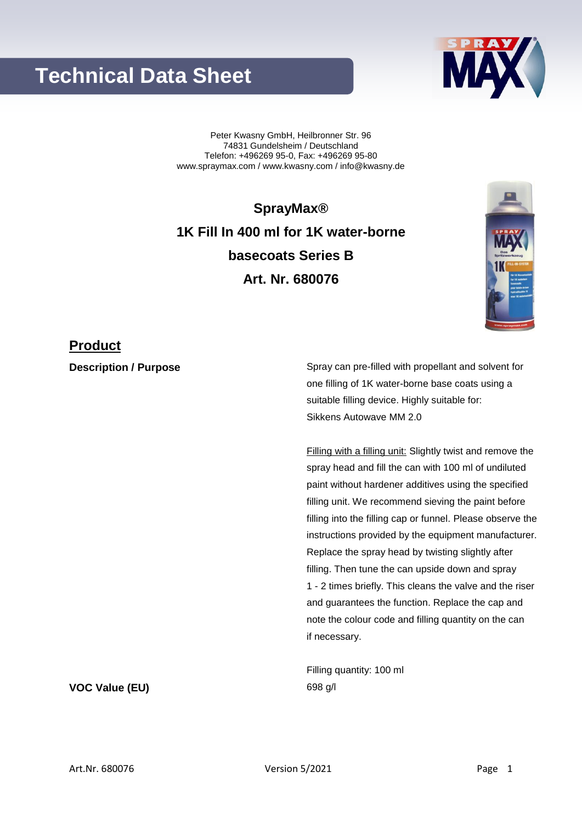## **Technical Data Sheet**

Peter Kwasny GmbH, Heilbronner Str. 96 74831 Gundelsheim / Deutschland Telefon: +496269 95-0, Fax: +496269 95-80 www.spraymax.com / www.kwasny.com / info@kwasny.de

**SprayMax® 1K Fill In 400 ml for 1K water-borne basecoats Series B Art. Nr. 680076**

### **Product**

**Description / Purpose** Spray can pre-filled with propellant and solvent for one filling of 1K water-borne base coats using a suitable filling device. Highly suitable for: Sikkens Autowave MM 2.0

> Filling with a filling unit: Slightly twist and remove the spray head and fill the can with 100 ml of undiluted paint without hardener additives using the specified filling unit. We recommend sieving the paint before filling into the filling cap or funnel. Please observe the instructions provided by the equipment manufacturer. Replace the spray head by twisting slightly after filling. Then tune the can upside down and spray 1 - 2 times briefly. This cleans the valve and the riser and guarantees the function. Replace the cap and note the colour code and filling quantity on the can if necessary.

Filling quantity: 100 ml **VOC Value (EU)** 698 g/l

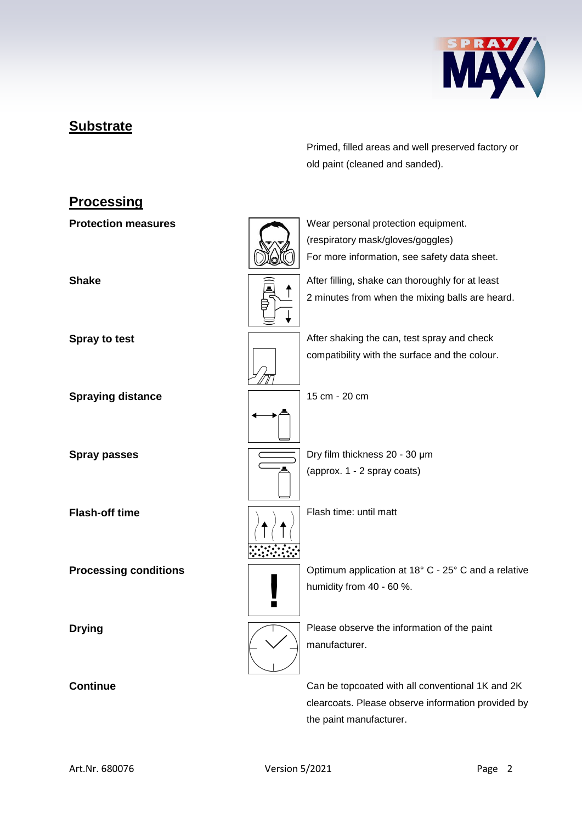

## **Substrate**

Primed, filled areas and well preserved factory or old paint (cleaned and sanded).

# **Processing Protection measures** Wear personal protection equipment. (respiratory mask/gloves/goggles) For more information, see safety data sheet. **Shake** After filling, shake can thoroughly for at least 2 minutes from when the mixing balls are heard. **Spray to test Spray to test** After shaking the can, test spray and check compatibility with the surface and the colour. **Spraying distance** 15 cm - 20 cm **Spray passes Dry film thickness 20 - 30 μm** (approx. 1 - 2 spray coats) **Flash-off time** Flash time: until matt **Processing conditions Conditions Conditions Processing conditions C** - 25° C and a relative humidity from 40 - 60 %.  $\blacksquare$ **Drying Please observe the information of the paint** manufacturer. **Continue** Can be topcoated with all conventional 1K and 2K clearcoats. Please observe information provided by

the paint manufacturer.